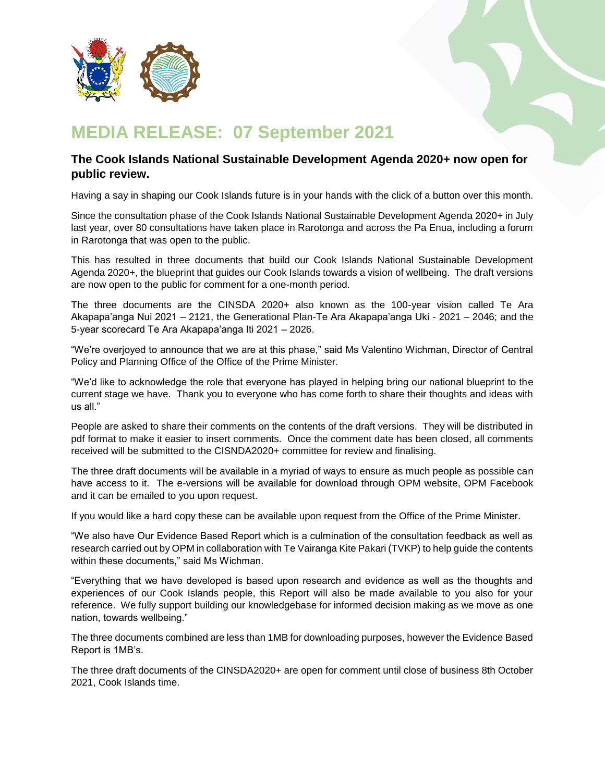

## **MEDIA RELEASE: 07 September 2021**

## **The Cook Islands National Sustainable Development Agenda 2020+ now open for public review.**

Having a say in shaping our Cook Islands future is in your hands with the click of a button over this month.

Since the consultation phase of the Cook Islands National Sustainable Development Agenda 2020+ in July last year, over 80 consultations have taken place in Rarotonga and across the Pa Enua, including a forum in Rarotonga that was open to the public.

This has resulted in three documents that build our Cook Islands National Sustainable Development Agenda 2020+, the blueprint that guides our Cook Islands towards a vision of wellbeing. The draft versions are now open to the public for comment for a one-month period.

The three documents are the CINSDA 2020+ also known as the 100-year vision called Te Ara Akapapa'anga Nui 2021 – 2121, the Generational Plan-Te Ara Akapapa'anga Uki - 2021 – 2046; and the 5-year scorecard Te Ara Akapapa'anga Iti 2021 – 2026.

"We're overjoyed to announce that we are at this phase," said Ms Valentino Wichman, Director of Central Policy and Planning Office of the Office of the Prime Minister.

"We'd like to acknowledge the role that everyone has played in helping bring our national blueprint to the current stage we have. Thank you to everyone who has come forth to share their thoughts and ideas with us all."

People are asked to share their comments on the contents of the draft versions. They will be distributed in pdf format to make it easier to insert comments. Once the comment date has been closed, all comments received will be submitted to the CISNDA2020+ committee for review and finalising.

The three draft documents will be available in a myriad of ways to ensure as much people as possible can have access to it. The e-versions will be available for download through OPM website, OPM Facebook and it can be emailed to you upon request.

If you would like a hard copy these can be available upon request from the Office of the Prime Minister.

"We also have Our Evidence Based Report which is a culmination of the consultation feedback as well as research carried out by OPM in collaboration with Te Vairanga Kite Pakari (TVKP) to help guide the contents within these documents," said Ms Wichman.

"Everything that we have developed is based upon research and evidence as well as the thoughts and experiences of our Cook Islands people, this Report will also be made available to you also for your reference. We fully support building our knowledgebase for informed decision making as we move as one nation, towards wellbeing."

The three documents combined are less than 1MB for downloading purposes, however the Evidence Based Report is 1MB's.

The three draft documents of the CINSDA2020+ are open for comment until close of business 8th October 2021, Cook Islands time.